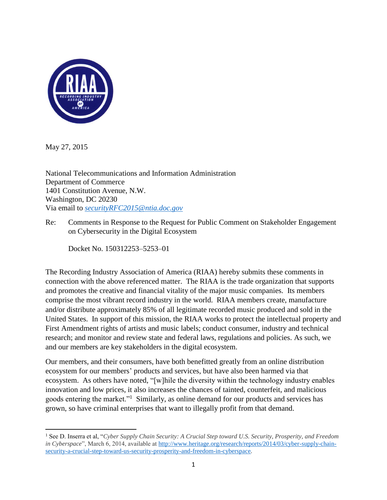

May 27, 2015

National Telecommunications and Information Administration Department of Commerce 1401 Constitution Avenue, N.W. Washington, DC 20230 Via email to *[securityRFC2015@ntia.doc.gov](mailto:securityRFC2015@ntia.doc.gov)*

Re: Comments in Response to the Request for Public Comment on Stakeholder Engagement on Cybersecurity in the Digital Ecosystem

Docket No. 150312253–5253–01

The Recording Industry Association of America (RIAA) hereby submits these comments in connection with the above referenced matter. The RIAA is the trade organization that supports and promotes the creative and financial vitality of the major music companies. Its members comprise the most vibrant record industry in the world. RIAA members create, manufacture and/or distribute approximately 85% of all legitimate recorded music produced and sold in the United States. In support of this mission, the RIAA works to protect the intellectual property and First Amendment rights of artists and music labels; conduct consumer, industry and technical research; and monitor and review state and federal laws, regulations and policies. As such, we and our members are key stakeholders in the digital ecosystem.

Our members, and their consumers, have both benefitted greatly from an online distribution ecosystem for our members' products and services, but have also been harmed via that ecosystem. As others have noted, "[w]hile the diversity within the technology industry enables innovation and low prices, it also increases the chances of tainted, counterfeit, and malicious goods entering the market."<sup>1</sup> Similarly, as online demand for our products and services has grown, so have criminal enterprises that want to illegally profit from that demand.

 $\overline{\phantom{a}}$ <sup>1</sup> See D. Inserra et al, "*Cyber Supply Chain Security: A Crucial Step toward U.S. Security, Prosperity, and Freedom in Cyberspace*", March 6, 2014, available at [http://www.heritage.org/research/reports/2014/03/cyber-supply-chain](http://www.heritage.org/research/reports/2014/03/cyber-supply-chain-security-a-crucial-step-toward-us-security-prosperity-and-freedom-in-cyberspace)[security-a-crucial-step-toward-us-security-prosperity-and-freedom-in-cyberspace.](http://www.heritage.org/research/reports/2014/03/cyber-supply-chain-security-a-crucial-step-toward-us-security-prosperity-and-freedom-in-cyberspace)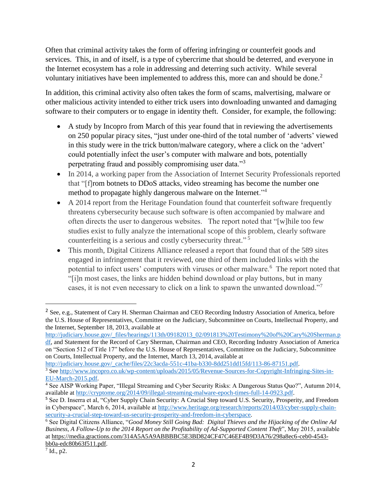Often that criminal activity takes the form of offering infringing or counterfeit goods and services. This, in and of itself, is a type of cybercrime that should be deterred, and everyone in the Internet ecosystem has a role in addressing and deterring such activity. While several voluntary initiatives have been implemented to address this, more can and should be done.<sup>2</sup>

In addition, this criminal activity also often takes the form of scams, malvertising, malware or other malicious activity intended to either trick users into downloading unwanted and damaging software to their computers or to engage in identity theft. Consider, for example, the following:

- A study by Incopro from March of this year found that in reviewing the advertisements on 250 popular piracy sites, "just under one-third of the total number of 'adverts' viewed in this study were in the trick button/malware category, where a click on the 'advert' could potentially infect the user's computer with malware and bots, potentially perpetrating fraud and possibly compromising user data."<sup>3</sup>
- In 2014, a working paper from the Association of Internet Security Professionals reported that "[f]rom botnets to DDoS attacks, video streaming has become the number one method to propagate highly dangerous malware on the Internet."<sup>4</sup>
- A 2014 report from the Heritage Foundation found that counterfeit software frequently threatens cybersecurity because such software is often accompanied by malware and often directs the user to dangerous websites. The report noted that "[w]hile too few studies exist to fully analyze the international scope of this problem, clearly software counterfeiting is a serious and costly cybersecurity threat." 5
- This month, Digital Citizens Alliance released a report that found that of the 589 sites engaged in infringement that it reviewed, one third of them included links with the potential to infect users' computers with viruses or other malware.<sup>6</sup> The report noted that "[i]n most cases, the links are hidden behind download or play buttons, but in many cases, it is not even necessary to click on a link to spawn the unwanted download."<sup>7</sup>

[http://judiciary.house.gov/\\_files/hearings/113th/09182013\\_02/091813%20Testimony%20of%20Cary%20Sherman.p](http://judiciary.house.gov/_files/hearings/113th/09182013_02/091813%20Testimony%20of%20Cary%20Sherman.pdf) [df,](http://judiciary.house.gov/_files/hearings/113th/09182013_02/091813%20Testimony%20of%20Cary%20Sherman.pdf) and Statement for the Record of Cary Sherman, Chairman and CEO, Recording Industry Association of America

on "Section 512 of Title 17" before the U.S. House of Representatives, Committee on the Judiciary, Subcommittee on Courts, Intellectual Property, and the Internet, March 13, 2014, available at

 $\overline{\phantom{a}}$ 

<sup>&</sup>lt;sup>2</sup> See, e.g., Statement of Cary H. Sherman Chairman and CEO Recording Industry Association of America, before the U.S. House of Representatives, Committee on the Judiciary, Subcommittee on Courts, Intellectual Property, and the Internet, September 18, 2013, available at

[http://judiciary.house.gov/\\_cache/files/22c3acda-551c-41ba-b330-8dd251dd15fd/113-86-87151.pdf.](http://judiciary.house.gov/_cache/files/22c3acda-551c-41ba-b330-8dd251dd15fd/113-86-87151.pdf) <sup>3</sup> Se[e http://www.incopro.co.uk/wp-content/uploads/2015/05/Revenue-Sources-for-Copyright-Infringing-Sites-in-](http://www.incopro.co.uk/wp-content/uploads/2015/05/Revenue-Sources-for-Copyright-Infringing-Sites-in-EU-March-2015.pdf)[EU-March-2015.pdf.](http://www.incopro.co.uk/wp-content/uploads/2015/05/Revenue-Sources-for-Copyright-Infringing-Sites-in-EU-March-2015.pdf)

<sup>4</sup> See AISP Working Paper, "Illegal Streaming and Cyber Security Risks: A Dangerous Status Quo?", Autumn 2014, available at [http://cryptome.org/2014/09/illegal-streaming-malware-epoch-times-full-14-0923.pdf.](http://cryptome.org/2014/09/illegal-streaming-malware-epoch-times-full-14-0923.pdf)

**<sup>5</sup>** See D. Inserra et al, "Cyber Supply Chain Security: A Crucial Step toward U.S. Security, Prosperity, and Freedom in Cyberspace", March 6, 2014, available at [http://www.heritage.org/research/reports/2014/03/cyber-supply-chain](http://www.heritage.org/research/reports/2014/03/cyber-supply-chain-security-a-crucial-step-toward-us-security-prosperity-and-freedom-in-cyberspace)[security-a-crucial-step-toward-us-security-prosperity-and-freedom-in-cyberspace.](http://www.heritage.org/research/reports/2014/03/cyber-supply-chain-security-a-crucial-step-toward-us-security-prosperity-and-freedom-in-cyberspace)

<sup>6</sup> See Digital Citizens Alliance, "*Good Money Still Going Bad: Digital Thieves and the Hijacking of the Online Ad Business, A Follow-Up to the 2014 Report on the Profitability of Ad-Supported Content Theft*", May 2015, available a[t https://media.gractions.com/314A5A5A9ABBBBC5E3BD824CF47C46EF4B9D3A76/298a8ec6-ceb0-4543](https://media.gractions.com/314A5A5A9ABBBBC5E3BD824CF47C46EF4B9D3A76/298a8ec6-ceb0-4543-bb0a-edc80b63f511.pdf) [bb0a-edc80b63f511.pdf.](https://media.gractions.com/314A5A5A9ABBBBC5E3BD824CF47C46EF4B9D3A76/298a8ec6-ceb0-4543-bb0a-edc80b63f511.pdf)

 $^7$  Id., p2.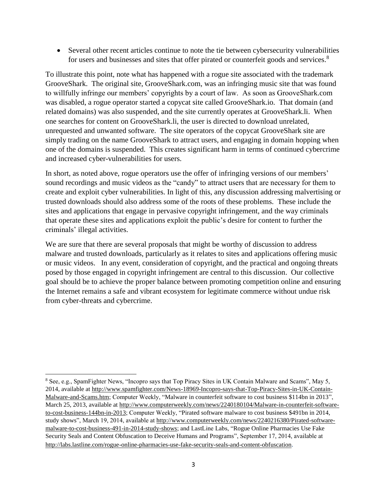Several other recent articles continue to note the tie between cybersecurity vulnerabilities for users and businesses and sites that offer pirated or counterfeit goods and services.<sup>8</sup>

To illustrate this point, note what has happened with a rogue site associated with the trademark GrooveShark. The original site, GrooveShark.com, was an infringing music site that was found to willfully infringe our members' copyrights by a court of law. As soon as GrooveShark.com was disabled, a rogue operator started a copycat site called GrooveShark.io. That domain (and related domains) was also suspended, and the site currently operates at GrooveShark.li. When one searches for content on GrooveShark.li, the user is directed to download unrelated, unrequested and unwanted software. The site operators of the copycat GrooveShark site are simply trading on the name GrooveShark to attract users, and engaging in domain hopping when one of the domains is suspended. This creates significant harm in terms of continued cybercrime and increased cyber-vulnerabilities for users.

In short, as noted above, rogue operators use the offer of infringing versions of our members' sound recordings and music videos as the "candy" to attract users that are necessary for them to create and exploit cyber vulnerabilities. In light of this, any discussion addressing malvertising or trusted downloads should also address some of the roots of these problems. These include the sites and applications that engage in pervasive copyright infringement, and the way criminals that operate these sites and applications exploit the public's desire for content to further the criminals' illegal activities.

We are sure that there are several proposals that might be worthy of discussion to address malware and trusted downloads, particularly as it relates to sites and applications offering music or music videos. In any event, consideration of copyright, and the practical and ongoing threats posed by those engaged in copyright infringement are central to this discussion. Our collective goal should be to achieve the proper balance between promoting competition online and ensuring the Internet remains a safe and vibrant ecosystem for legitimate commerce without undue risk from cyber-threats and cybercrime.

l <sup>8</sup> See, e.g., SpamFighter News, "Incopro says that Top Piracy Sites in UK Contain Malware and Scams", May 5, 2014, available at [http://www.spamfighter.com/News-18969-Incopro-says-that-Top-Piracy-Sites-in-UK-Contain-](http://www.spamfighter.com/News-18969-Incopro-says-that-Top-Piracy-Sites-in-UK-Contain-Malware-and-Scams.htm)[Malware-and-Scams.htm;](http://www.spamfighter.com/News-18969-Incopro-says-that-Top-Piracy-Sites-in-UK-Contain-Malware-and-Scams.htm) Computer Weekly, "Malware in counterfeit software to cost business \$114bn in 2013", March 25, 2013, available at [http://www.computerweekly.com/news/2240180104/Malware-in-counterfeit-software](http://www.computerweekly.com/news/2240180104/Malware-in-counterfeit-software-to-cost-business-144bn-in-2013)[to-cost-business-144bn-in-2013;](http://www.computerweekly.com/news/2240180104/Malware-in-counterfeit-software-to-cost-business-144bn-in-2013) Computer Weekly, "Pirated software malware to cost business \$491bn in 2014, study shows", March 19, 2014, available at [http://www.computerweekly.com/news/2240216380/Pirated-software](http://www.computerweekly.com/news/2240216380/Pirated-software-malware-to-cost-business-491-in-2014-study-shows)[malware-to-cost-business-491-in-2014-study-shows;](http://www.computerweekly.com/news/2240216380/Pirated-software-malware-to-cost-business-491-in-2014-study-shows) and LastLine Labs, ["Rogue Online Pharmacies Use Fake](http://labs.lastline.com/rogue-online-pharmacies-use-fake-security-seals-and-content-obfuscation)  [Security Seals and Content Obfuscation to Deceive Humans and Programs"](http://labs.lastline.com/rogue-online-pharmacies-use-fake-security-seals-and-content-obfuscation), September 17, 2014, available at <http://labs.lastline.com/rogue-online-pharmacies-use-fake-security-seals-and-content-obfuscation>.